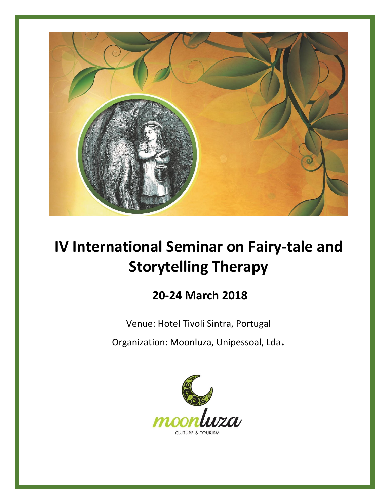

# **IV International Seminar on Fairy-tale and Storytelling Therapy**

# **20-24 March 2018**

Venue: Hotel Tivoli Sintra, Portugal

Organization: Moonluza, Unipessoal, Lda.

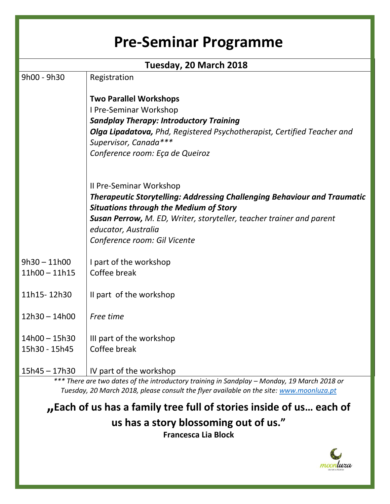| <b>Pre-Seminar Programme</b> |                                                                                                                                  |  |  |  |
|------------------------------|----------------------------------------------------------------------------------------------------------------------------------|--|--|--|
|                              | Tuesday, 20 March 2018                                                                                                           |  |  |  |
| 9h00 - 9h30                  | Registration                                                                                                                     |  |  |  |
|                              | <b>Two Parallel Workshops</b>                                                                                                    |  |  |  |
|                              | I Pre-Seminar Workshop                                                                                                           |  |  |  |
|                              | <b>Sandplay Therapy: Introductory Training</b>                                                                                   |  |  |  |
|                              | <b>Olga Lipadatova, Phd, Registered Psychotherapist, Certified Teacher and</b>                                                   |  |  |  |
|                              | Supervisor, Canada***                                                                                                            |  |  |  |
|                              | Conference room: Eça de Queiroz                                                                                                  |  |  |  |
|                              | Il Pre-Seminar Workshop                                                                                                          |  |  |  |
|                              | <b>Therapeutic Storytelling: Addressing Challenging Behaviour and Traumatic</b><br><b>Situations through the Medium of Story</b> |  |  |  |
|                              | <b>Susan Perrow, M. ED, Writer, storyteller, teacher trainer and parent</b>                                                      |  |  |  |
|                              | educator, Australia                                                                                                              |  |  |  |
|                              | Conference room: Gil Vicente                                                                                                     |  |  |  |
| $9h30 - 11h00$               | I part of the workshop                                                                                                           |  |  |  |
| $11h00 - 11h15$              | Coffee break                                                                                                                     |  |  |  |
| 11h15-12h30                  | Il part of the workshop                                                                                                          |  |  |  |
| $12h30 - 14h00$              | Free time                                                                                                                        |  |  |  |
| $14h00 - 15h30$              | III part of the workshop                                                                                                         |  |  |  |
| 15h30 - 15h45                | Coffee break                                                                                                                     |  |  |  |
| $15h45 - 17h30$              | IV part of the workshop                                                                                                          |  |  |  |

*\*\*\* There are two dates of the introductory training in Sandplay – Monday, 19 March 2018 or Tuesday, 20 March 2018, please consult the flyer available on the site: [www.moonluza.pt](http://www.moonluza.pt/)*

**"Each of us has a family tree full of stories inside of us… each of us has a story blossoming out of us." Francesca Lia Block**

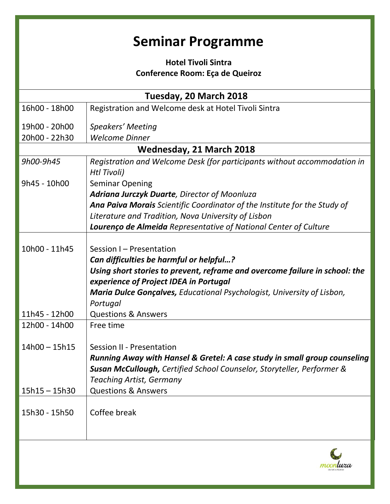# **Seminar Programme**

# **Hotel Tivoli Sintra Conference Room: Eça de Queiroz**

| 16h00 - 18h00<br>Registration and Welcome desk at Hotel Tivoli Sintra<br>19h00 - 20h00<br>Speakers' Meeting<br>20h00 - 22h30<br><b>Welcome Dinner</b><br>Wednesday, 21 March 2018<br>Registration and Welcome Desk (for participants without accommodation in<br>9h00-9h45<br>Htl Tivoli)<br>9h45 - 10h00<br><b>Seminar Opening</b><br>Adriana Jurczyk Duarte, Director of Moonluza<br>Ana Paiva Morais Scientific Coordinator of the Institute for the Study of<br>Literature and Tradition, Nova University of Lisbon<br>Lourenço de Almeida Representative of National Center of Culture<br>10h00 - 11h45<br>Session I - Presentation<br>Can difficulties be harmful or helpful?<br>Using short stories to prevent, reframe and overcome failure in school: the<br>experience of Project IDEA in Portugal<br><b>Maria Dulce Gonçalves, Educational Psychologist, University of Lisbon,</b><br>Portugal<br>11h45 - 12h00<br><b>Questions &amp; Answers</b><br>12h00 - 14h00<br>Free time<br>$14h00 - 15h15$<br>Session II - Presentation<br>Running Away with Hansel & Gretel: A case study in small group counseling<br>Susan McCullough, Certified School Counselor, Storyteller, Performer & |
|---------------------------------------------------------------------------------------------------------------------------------------------------------------------------------------------------------------------------------------------------------------------------------------------------------------------------------------------------------------------------------------------------------------------------------------------------------------------------------------------------------------------------------------------------------------------------------------------------------------------------------------------------------------------------------------------------------------------------------------------------------------------------------------------------------------------------------------------------------------------------------------------------------------------------------------------------------------------------------------------------------------------------------------------------------------------------------------------------------------------------------------------------------------------------------------------------|
|                                                                                                                                                                                                                                                                                                                                                                                                                                                                                                                                                                                                                                                                                                                                                                                                                                                                                                                                                                                                                                                                                                                                                                                                   |
|                                                                                                                                                                                                                                                                                                                                                                                                                                                                                                                                                                                                                                                                                                                                                                                                                                                                                                                                                                                                                                                                                                                                                                                                   |
|                                                                                                                                                                                                                                                                                                                                                                                                                                                                                                                                                                                                                                                                                                                                                                                                                                                                                                                                                                                                                                                                                                                                                                                                   |
|                                                                                                                                                                                                                                                                                                                                                                                                                                                                                                                                                                                                                                                                                                                                                                                                                                                                                                                                                                                                                                                                                                                                                                                                   |
|                                                                                                                                                                                                                                                                                                                                                                                                                                                                                                                                                                                                                                                                                                                                                                                                                                                                                                                                                                                                                                                                                                                                                                                                   |
|                                                                                                                                                                                                                                                                                                                                                                                                                                                                                                                                                                                                                                                                                                                                                                                                                                                                                                                                                                                                                                                                                                                                                                                                   |
|                                                                                                                                                                                                                                                                                                                                                                                                                                                                                                                                                                                                                                                                                                                                                                                                                                                                                                                                                                                                                                                                                                                                                                                                   |
|                                                                                                                                                                                                                                                                                                                                                                                                                                                                                                                                                                                                                                                                                                                                                                                                                                                                                                                                                                                                                                                                                                                                                                                                   |
|                                                                                                                                                                                                                                                                                                                                                                                                                                                                                                                                                                                                                                                                                                                                                                                                                                                                                                                                                                                                                                                                                                                                                                                                   |
|                                                                                                                                                                                                                                                                                                                                                                                                                                                                                                                                                                                                                                                                                                                                                                                                                                                                                                                                                                                                                                                                                                                                                                                                   |
|                                                                                                                                                                                                                                                                                                                                                                                                                                                                                                                                                                                                                                                                                                                                                                                                                                                                                                                                                                                                                                                                                                                                                                                                   |
|                                                                                                                                                                                                                                                                                                                                                                                                                                                                                                                                                                                                                                                                                                                                                                                                                                                                                                                                                                                                                                                                                                                                                                                                   |
|                                                                                                                                                                                                                                                                                                                                                                                                                                                                                                                                                                                                                                                                                                                                                                                                                                                                                                                                                                                                                                                                                                                                                                                                   |
|                                                                                                                                                                                                                                                                                                                                                                                                                                                                                                                                                                                                                                                                                                                                                                                                                                                                                                                                                                                                                                                                                                                                                                                                   |
|                                                                                                                                                                                                                                                                                                                                                                                                                                                                                                                                                                                                                                                                                                                                                                                                                                                                                                                                                                                                                                                                                                                                                                                                   |
|                                                                                                                                                                                                                                                                                                                                                                                                                                                                                                                                                                                                                                                                                                                                                                                                                                                                                                                                                                                                                                                                                                                                                                                                   |
|                                                                                                                                                                                                                                                                                                                                                                                                                                                                                                                                                                                                                                                                                                                                                                                                                                                                                                                                                                                                                                                                                                                                                                                                   |
|                                                                                                                                                                                                                                                                                                                                                                                                                                                                                                                                                                                                                                                                                                                                                                                                                                                                                                                                                                                                                                                                                                                                                                                                   |
|                                                                                                                                                                                                                                                                                                                                                                                                                                                                                                                                                                                                                                                                                                                                                                                                                                                                                                                                                                                                                                                                                                                                                                                                   |
|                                                                                                                                                                                                                                                                                                                                                                                                                                                                                                                                                                                                                                                                                                                                                                                                                                                                                                                                                                                                                                                                                                                                                                                                   |
|                                                                                                                                                                                                                                                                                                                                                                                                                                                                                                                                                                                                                                                                                                                                                                                                                                                                                                                                                                                                                                                                                                                                                                                                   |
|                                                                                                                                                                                                                                                                                                                                                                                                                                                                                                                                                                                                                                                                                                                                                                                                                                                                                                                                                                                                                                                                                                                                                                                                   |
|                                                                                                                                                                                                                                                                                                                                                                                                                                                                                                                                                                                                                                                                                                                                                                                                                                                                                                                                                                                                                                                                                                                                                                                                   |
| <b>Teaching Artist, Germany</b>                                                                                                                                                                                                                                                                                                                                                                                                                                                                                                                                                                                                                                                                                                                                                                                                                                                                                                                                                                                                                                                                                                                                                                   |
| <b>Questions &amp; Answers</b><br>$15h15 - 15h30$                                                                                                                                                                                                                                                                                                                                                                                                                                                                                                                                                                                                                                                                                                                                                                                                                                                                                                                                                                                                                                                                                                                                                 |
|                                                                                                                                                                                                                                                                                                                                                                                                                                                                                                                                                                                                                                                                                                                                                                                                                                                                                                                                                                                                                                                                                                                                                                                                   |
| 15h30 - 15h50<br>Coffee break                                                                                                                                                                                                                                                                                                                                                                                                                                                                                                                                                                                                                                                                                                                                                                                                                                                                                                                                                                                                                                                                                                                                                                     |
|                                                                                                                                                                                                                                                                                                                                                                                                                                                                                                                                                                                                                                                                                                                                                                                                                                                                                                                                                                                                                                                                                                                                                                                                   |
|                                                                                                                                                                                                                                                                                                                                                                                                                                                                                                                                                                                                                                                                                                                                                                                                                                                                                                                                                                                                                                                                                                                                                                                                   |
|                                                                                                                                                                                                                                                                                                                                                                                                                                                                                                                                                                                                                                                                                                                                                                                                                                                                                                                                                                                                                                                                                                                                                                                                   |
|                                                                                                                                                                                                                                                                                                                                                                                                                                                                                                                                                                                                                                                                                                                                                                                                                                                                                                                                                                                                                                                                                                                                                                                                   |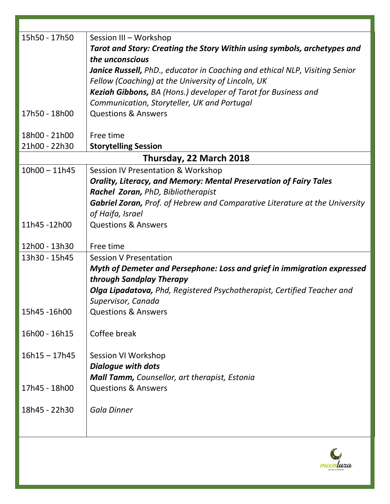| 15h50 - 17h50   | Session III - Workshop<br>Tarot and Story: Creating the Story Within using symbols, archetypes and<br>the unconscious |
|-----------------|-----------------------------------------------------------------------------------------------------------------------|
|                 | <b>Janice Russell, PhD., educator in Coaching and ethical NLP, Visiting Senior</b>                                    |
|                 | Fellow (Coaching) at the University of Lincoln, UK<br>Keziah Gibbons, BA (Hons.) developer of Tarot for Business and  |
|                 | Communication, Storyteller, UK and Portugal                                                                           |
| 17h50 - 18h00   | <b>Questions &amp; Answers</b>                                                                                        |
| 18h00 - 21h00   | Free time                                                                                                             |
| 21h00 - 22h30   | <b>Storytelling Session</b>                                                                                           |
|                 | Thursday, 22 March 2018                                                                                               |
| $10h00 - 11h45$ | Session IV Presentation & Workshop                                                                                    |
|                 | <b>Orality, Literacy, and Memory: Mental Preservation of Fairy Tales</b>                                              |
|                 | Rachel Zoran, PhD, Bibliotherapist                                                                                    |
|                 | <b>Gabriel Zoran, Prof. of Hebrew and Comparative Literature at the University</b>                                    |
| 11h45-12h00     | of Haifa, Israel<br><b>Questions &amp; Answers</b>                                                                    |
|                 |                                                                                                                       |
| 12h00 - 13h30   | Free time                                                                                                             |
| 13h30 - 15h45   | <b>Session V Presentation</b>                                                                                         |
|                 | Myth of Demeter and Persephone: Loss and grief in immigration expressed                                               |
|                 | through Sandplay Therapy                                                                                              |
|                 | <b>Olga Lipadatova, Phd, Registered Psychotherapist, Certified Teacher and</b>                                        |
|                 | Supervisor, Canada                                                                                                    |
| 15h45 -16h00    | <b>Questions &amp; Answers</b>                                                                                        |
| 16h00 - 16h15   | Coffee break                                                                                                          |
| $16h15 - 17h45$ | Session VI Workshop                                                                                                   |
|                 | <b>Dialogue with dots</b>                                                                                             |
|                 | Mall Tamm, Counsellor, art therapist, Estonia                                                                         |
| 17h45 - 18h00   | <b>Questions &amp; Answers</b>                                                                                        |
| 18h45 - 22h30   | <b>Gala Dinner</b>                                                                                                    |
|                 |                                                                                                                       |
|                 |                                                                                                                       |

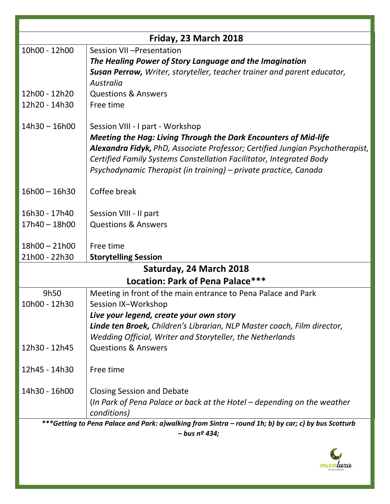| Friday, 23 March 2018                                                                               |                                                                                |  |  |  |
|-----------------------------------------------------------------------------------------------------|--------------------------------------------------------------------------------|--|--|--|
| 10h00 - 12h00                                                                                       | Session VII-Presentation                                                       |  |  |  |
|                                                                                                     | The Healing Power of Story Language and the Imagination                        |  |  |  |
|                                                                                                     | <b>Susan Perrow, Writer, storyteller, teacher trainer and parent educator,</b> |  |  |  |
|                                                                                                     | Australia                                                                      |  |  |  |
| 12h00 - 12h20                                                                                       | <b>Questions &amp; Answers</b>                                                 |  |  |  |
| 12h20 - 14h30                                                                                       | Free time                                                                      |  |  |  |
| $14h30 - 16h00$                                                                                     | Session VIII - I part - Workshop                                               |  |  |  |
|                                                                                                     | <b>Meeting the Hag: Living Through the Dark Encounters of Mid-life</b>         |  |  |  |
|                                                                                                     | Alexandra Fidyk, PhD, Associate Professor; Certified Jungian Psychotherapist,  |  |  |  |
|                                                                                                     | Certified Family Systems Constellation Facilitator, Integrated Body            |  |  |  |
|                                                                                                     | Psychodynamic Therapist (in training) – private practice, Canada               |  |  |  |
| $16h00 - 16h30$                                                                                     | Coffee break                                                                   |  |  |  |
|                                                                                                     |                                                                                |  |  |  |
| 16h30 - 17h40                                                                                       | Session VIII - II part                                                         |  |  |  |
| 17h40 - 18h00                                                                                       | <b>Questions &amp; Answers</b>                                                 |  |  |  |
| $18h00 - 21h00$                                                                                     | Free time                                                                      |  |  |  |
| 21h00 - 22h30                                                                                       | <b>Storytelling Session</b>                                                    |  |  |  |
|                                                                                                     | Saturday, 24 March 2018                                                        |  |  |  |
|                                                                                                     | Location: Park of Pena Palace***                                               |  |  |  |
| 9h50                                                                                                | Meeting in front of the main entrance to Pena Palace and Park                  |  |  |  |
| 10h00 - 12h30                                                                                       | Session IX-Workshop                                                            |  |  |  |
|                                                                                                     | Live your legend, create your own story                                        |  |  |  |
|                                                                                                     | Linde ten Broek, Children's Librarian, NLP Master coach, Film director,        |  |  |  |
|                                                                                                     | Wedding Official, Writer and Storyteller, the Netherlands                      |  |  |  |
| 12h30 - 12h45                                                                                       | <b>Questions &amp; Answers</b>                                                 |  |  |  |
| 12h45 - 14h30                                                                                       | Free time                                                                      |  |  |  |
| 14h30 - 16h00                                                                                       | <b>Closing Session and Debate</b>                                              |  |  |  |
|                                                                                                     | (In Park of Pena Palace or back at the Hotel - depending on the weather        |  |  |  |
|                                                                                                     | conditions)                                                                    |  |  |  |
| ***Getting to Pena Palace and Park: a)walking from Sintra - round 1h; b) by car; c) by bus Scotturb |                                                                                |  |  |  |
|                                                                                                     | $-$ bus nº 434;                                                                |  |  |  |
|                                                                                                     |                                                                                |  |  |  |

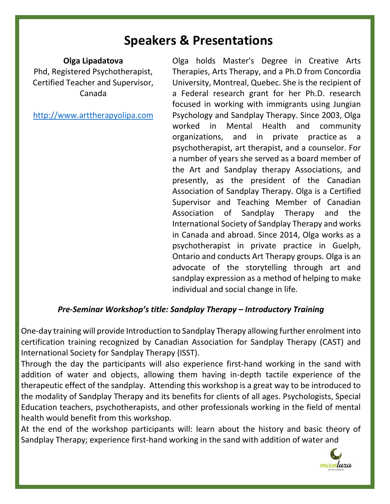# **Speakers & Presentations**

#### **Olga Lipadatova**

Phd, Registered Psychotherapist, Certified Teacher and Supervisor, Canada

[http://www.arttherapyolipa.com](http://www.arttherapyolipa.com/)

Olga holds Master's Degree in Creative Arts Therapies, Arts Therapy, and a Ph.D from Concordia University, Montreal, Quebec. She is the recipient of a Federal research grant for her Ph.D. research focused in working with immigrants using Jungian Psychology and Sandplay Therapy. Since 2003, Olga worked in Mental Health and community organizations, and in private practice as a psychotherapist, art therapist, and a counselor. For a number of years she served as a board member of the Art and Sandplay therapy Associations, and presently, as the president of the Canadian Association of Sandplay Therapy. Olga is a Certified Supervisor and Teaching Member of Canadian Association of Sandplay Therapy and the International Society of Sandplay Therapy and works in Canada and abroad. Since 2014, Olga works as a psychotherapist in private practice in Guelph, Ontario and conducts Art Therapy groups. Olga is an advocate of the storytelling through art and sandplay expression as a method of helping to make individual and social change in life.

### *Pre-Seminar Workshop's title: Sandplay Therapy – Introductory Training*

One-day training will provide Introduction to Sandplay Therapy allowing further enrolment into certification training recognized by Canadian Association for Sandplay Therapy (CAST) and International Society for Sandplay Therapy (ISST).

Through the day the participants will also experience first-hand working in the sand with addition of water and objects, allowing them having in-depth tactile experience of the therapeutic effect of the sandplay. Attending this workshop is a great way to be introduced to the modality of Sandplay Therapy and its benefits for clients of all ages. Psychologists, Special Education teachers, psychotherapists, and other professionals working in the field of mental health would benefit from this workshop.

At the end of the workshop participants will: learn about the history and basic theory of Sandplay Therapy; experience first-hand working in the sand with addition of water and

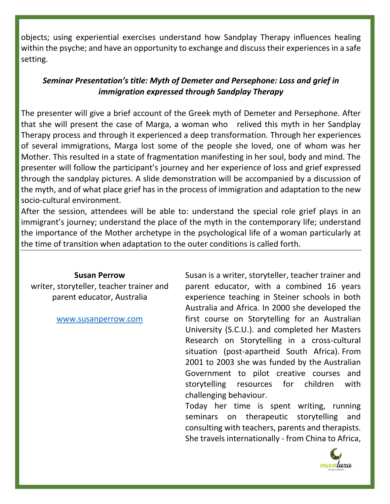objects; using experiential exercises understand how Sandplay Therapy influences healing within the psyche; and have an opportunity to exchange and discuss their experiences in a safe setting.

# *Seminar Presentation's title: Myth of Demeter and Persephone: Loss and grief in immigration expressed through Sandplay Therapy*

The presenter will give a brief account of the Greek myth of Demeter and Persephone. After that she will present the case of Marga, a woman who relived this myth in her Sandplay Therapy process and through it experienced a deep transformation. Through her experiences of several immigrations, Marga lost some of the people she loved, one of whom was her Mother. This resulted in a state of fragmentation manifesting in her soul, body and mind. The presenter will follow the participant's journey and her experience of loss and grief expressed through the sandplay pictures. A slide demonstration will be accompanied by a discussion of the myth, and of what place grief has in the process of immigration and adaptation to the new socio-cultural environment.

After the session, attendees will be able to: understand the special role grief plays in an immigrant's journey; understand the place of the myth in the contemporary life; understand the importance of the Mother archetype in the psychological life of a woman particularly at the time of transition when adaptation to the outer conditions is called forth.

#### **Susan Perrow**

writer, storyteller, teacher trainer and parent educator, Australia

[www.susanperrow.com](http://www.susanperrow.com/)

Susan is a writer, storyteller, teacher trainer and parent educator, with a combined 16 years experience teaching in Steiner schools in both Australia and Africa. In 2000 she developed the first course on Storytelling for an Australian University (S.C.U.). and completed her Masters Research on Storytelling in a cross-cultural situation (post-apartheid South Africa). From 2001 to 2003 she was funded by the Australian Government to pilot creative courses and storytelling resources for children with challenging behaviour.

Today her time is spent writing, running seminars on therapeutic storytelling and consulting with teachers, parents and therapists. She travels internationally - from China to Africa,

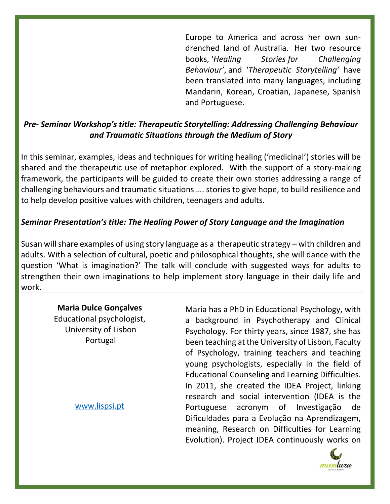Europe to America and across her own sundrenched land of Australia. Her two resource books, '*Healing Stories for Challenging Behaviour'*, and '*Therapeutic Storytelling'* have been translated into many languages, including Mandarin, Korean, Croatian, Japanese, Spanish and Portuguese.

# *Pre- Seminar Workshop's title: Therapeutic Storytelling: Addressing Challenging Behaviour and Traumatic Situations through the Medium of Story*

In this seminar, examples, ideas and techniques for writing healing ('medicinal') stories will be shared and the therapeutic use of metaphor explored. With the support of a story-making framework, the participants will be guided to create their own stories addressing a range of challenging behaviours and traumatic situations …. stories to give hope, to build resilience and to help develop positive values with children, teenagers and adults.

# *Seminar Presentation's title: The Healing Power of Story Language and the Imagination*

Susan will share examples of using story language as a therapeutic strategy – with children and adults. With a selection of cultural, poetic and philosophical thoughts, she will dance with the question 'What is imagination?' The talk will conclude with suggested ways for adults to strengthen their own imaginations to help implement story language in their daily life and work.

#### **Maria Dulce Gonçalves**

Educational psychologist, University of Lisbon Portugal

[www.lispsi.pt](http://www.lispsi.pt/)

Maria has a PhD in Educational Psychology, with a background in Psychotherapy and Clinical Psychology. For thirty years, since 1987, she has been teaching at the University of Lisbon, Faculty of Psychology, training teachers and teaching young psychologists, especially in the field of Educational Counseling and Learning Difficulties. In 2011, she created the IDEA Project, linking research and social intervention (IDEA is the Portuguese acronym of Investigação de Dificuldades para a Evolução na Aprendizagem, meaning, Research on Difficulties for Learning Evolution). Project IDEA continuously works on

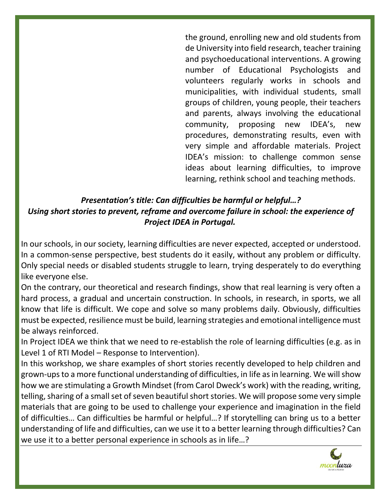the ground, enrolling new and old students from de University into field research, teacher training and psychoeducational interventions. A growing number of Educational Psychologists and volunteers regularly works in schools and municipalities, with individual students, small groups of children, young people, their teachers and parents, always involving the educational community, proposing new IDEA's, new procedures, demonstrating results, even with very simple and affordable materials. Project IDEA's mission: to challenge common sense ideas about learning difficulties, to improve learning, rethink school and teaching methods.

# *Presentation's title: Can difficulties be harmful or helpful…? Using short stories to prevent, reframe and overcome failure in school: the experience of Project IDEA in Portugal.*

In our schools, in our society, learning difficulties are never expected, accepted or understood. In a common-sense perspective, best students do it easily, without any problem or difficulty. Only special needs or disabled students struggle to learn, trying desperately to do everything like everyone else.

On the contrary, our theoretical and research findings, show that real learning is very often a hard process, a gradual and uncertain construction. In schools, in research, in sports, we all know that life is difficult. We cope and solve so many problems daily. Obviously, difficulties must be expected, resilience must be build, learning strategies and emotional intelligence must be always reinforced.

In Project IDEA we think that we need to re-establish the role of learning difficulties (e.g. as in Level 1 of RTI Model – Response to Intervention).

In this workshop, we share examples of short stories recently developed to help children and grown-ups to a more functional understanding of difficulties, in life as in learning. We will show how we are stimulating a Growth Mindset (from Carol Dweck's work) with the reading, writing, telling, sharing of a small set of seven beautiful short stories. We will propose some very simple materials that are going to be used to challenge your experience and imagination in the field of difficulties… Can difficulties be harmful or helpful…? If storytelling can bring us to a better understanding of life and difficulties, can we use it to a better learning through difficulties? Can we use it to a better personal experience in schools as in life…?

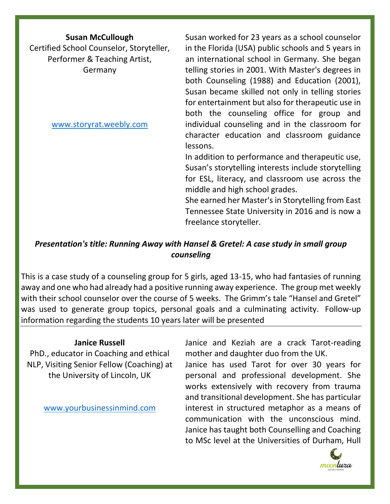#### **Susan McCullough**

Certified School Counselor, Storyteller, Performer & Teaching Artist, Germany

[www.storyrat.weebly.com](http://www.storyrat.weebly.com/)

Susan worked for 23 years as a school counselor in the Florida (USA) public schools and 5 years in an international school in Germany. She began telling stories in 2001. With Master's degrees in both Counseling (1988) and Education (2001), Susan became skilled not only in telling stories for entertainment but also for therapeutic use in both the counseling office for group and individual counseling and in the classroom for character education and classroom guidance lessons.

In addition to performance and therapeutic use, Susan's storytelling interests include storytelling for ESL, literacy, and classroom use across the middle and high school grades.

She earned her Master's in Storytelling from East Tennessee State University in 2016 and is now a freelance storyteller.

# *Presentation's title: Running Away with Hansel & Gretel: A case study in small group counseling*

This is a case study of a counseling group for 5 girls, aged 13-15, who had fantasies of running away and one who had already had a positive running away experience. The group met weekly with their school counselor over the course of 5 weeks. The Grimm's tale "Hansel and Gretel" was used to generate group topics, personal goals and a culminating activity. Follow-up information regarding the students 10 years later will be presented

#### **Janice Russell**

PhD., educator in Coaching and ethical NLP, Visiting Senior Fellow (Coaching) at the University of Lincoln, UK

[www.yourbusinessinmind.com](http://www.yourbusinessinmind.com/)

Janice and Keziah are a crack Tarot-reading mother and daughter duo from the UK.

Janice has used Tarot for over 30 years for personal and professional development. She works extensively with recovery from trauma and transitional development. She has particular interest in structured metaphor as a means of communication with the unconscious mind. Janice has taught both Counselling and Coaching to MSc level at the Universities of Durham, Hull

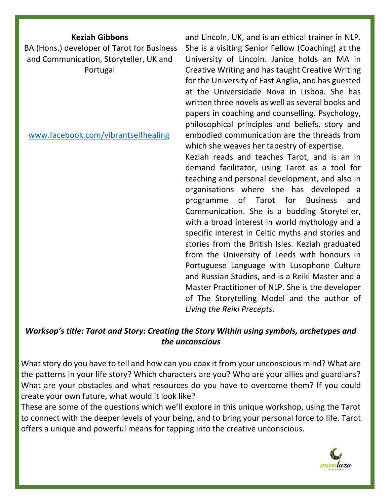#### **Keziah Gibbons**

BA (Hons.) developer of Tarot for Business and Communication, Storyteller, UK and Portugal

[www.facebook.com/vibrantselfhealing](http://www.facebook.com/vibrantselfhealing)

and Lincoln, UK, and is an ethical trainer in NLP. She is a visiting Senior Fellow (Coaching) at the University of Lincoln. Janice holds an MA in Creative Writing and has taught Creative Writing for the University of East Anglia, and has guested at the Universidade Nova in Lisboa. She has written three novels as well as several books and papers in coaching and counselling. Psychology, philosophical principles and beliefs, story and embodied communication are the threads from which she weaves her tapestry of expertise.

Keziah reads and teaches Tarot, and is an in demand facilitator, using Tarot as a tool for teaching and personal development, and also in organisations where she has developed a programme of Tarot for Business and Communication. She is a budding Storyteller, with a broad interest in world mythology and a specific interest in Celtic myths and stories and stories from the British Isles. Keziah graduated from the University of Leeds with honours in Portuguese Language with Lusophone Culture and Russian Studies, and is a Reiki Master and a Master Practitioner of NLP. She is the developer of The Storytelling Model and the author of *Living the Reiki Precepts*.

## *Worksop's title: Tarot and Story: Creating the Story Within using symbols, archetypes and the unconscious*

What story do you have to tell and how can you coax it from your unconscious mind? What are the patterns in your life story? Which characters are you? Who are your allies and guardians? What are your obstacles and what resources do you have to overcome them? If you could create your own future, what would it look like?

These are some of the questions which we'll explore in this unique workshop, using the Tarot to connect with the deeper levels of your being, and to bring your personal force to life. Tarot offers a unique and powerful means for tapping into the creative unconscious.

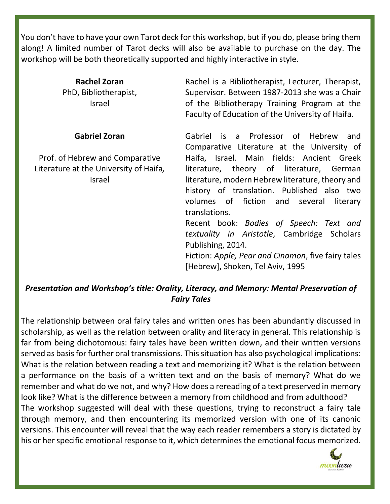You don't have to have your own Tarot deck for this workshop, but if you do, please bring them along! A limited number of Tarot decks will also be available to purchase on the day. The workshop will be both theoretically supported and highly interactive in style.

| <b>Rachel Zoran</b><br>PhD, Bibliotherapist,<br><b>Israel</b> | Rachel is a Bibliotherapist, Lecturer, Therapist,<br>Supervisor. Between 1987-2013 she was a Chair<br>of the Bibliotherapy Training Program at the<br>Faculty of Education of the University of Haifa. |
|---------------------------------------------------------------|--------------------------------------------------------------------------------------------------------------------------------------------------------------------------------------------------------|
| <b>Gabriel Zoran</b>                                          | Gabriel is a Professor of Hebrew<br>and                                                                                                                                                                |
|                                                               | Comparative Literature at the University of                                                                                                                                                            |
| Prof. of Hebrew and Comparative                               | Haifa, Israel. Main fields: Ancient Greek                                                                                                                                                              |
| Literature at the University of Haifa,                        | literature, theory of literature, German                                                                                                                                                               |
| Israel                                                        | literature, modern Hebrew literature, theory and                                                                                                                                                       |
|                                                               | history of translation. Published also two                                                                                                                                                             |
|                                                               | volumes of fiction and several<br>literary                                                                                                                                                             |
|                                                               | translations.                                                                                                                                                                                          |
|                                                               | Recent book: Bodies of Speech: Text and                                                                                                                                                                |
|                                                               | textuality in Aristotle, Cambridge Scholars                                                                                                                                                            |
|                                                               | Publishing, 2014.                                                                                                                                                                                      |
|                                                               | Fiction: Apple, Pear and Cinamon, five fairy tales                                                                                                                                                     |
|                                                               | [Hebrew], Shoken, Tel Aviv, 1995                                                                                                                                                                       |

### *Presentation and Workshop's title: Orality, Literacy, and Memory: Mental Preservation of Fairy Tales*

The relationship between oral fairy tales and written ones has been abundantly discussed in scholarship, as well as the relation between orality and literacy in general. This relationship is far from being dichotomous: fairy tales have been written down, and their written versions served as basis for further oral transmissions. This situation has also psychological implications: What is the relation between reading a text and memorizing it? What is the relation between a performance on the basis of a written text and on the basis of memory? What do we remember and what do we not, and why? How does a rereading of a text preserved in memory look like? What is the difference between a memory from childhood and from adulthood? The workshop suggested will deal with these questions, trying to reconstruct a fairy tale through memory, and then encountering its memorized version with one of its canonic versions. This encounter will reveal that the way each reader remembers a story is dictated by his or her specific emotional response to it, which determines the emotional focus memorized.

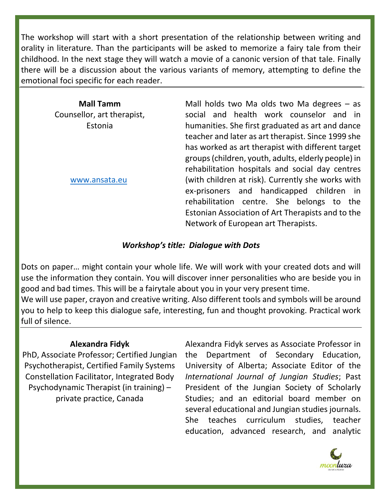The workshop will start with a short presentation of the relationship between writing and orality in literature. Than the participants will be asked to memorize a fairy tale from their childhood. In the next stage they will watch a movie of a canonic version of that tale. Finally there will be a discussion about the various variants of memory, attempting to define the emotional foci specific for each reader.

| <b>Mall Tamm</b>           |  |
|----------------------------|--|
| Counsellor, art therapist, |  |
| Estonia                    |  |

[www.ansata.eu](http://www.ansata.eu/)

Mall holds two Ma olds two Ma degrees  $-$  as social and health work counselor and in humanities. She first graduated as art and dance teacher and later as art therapist. Since 1999 she has worked as art therapist with different target groups (children, youth, adults, elderly people) in rehabilitation hospitals and social day centres (with children at risk). Currently she works with ex-prisoners and handicapped children in rehabilitation centre. She belongs to the Estonian Association of Art Therapists and to the Network of European art Therapists.

#### *Workshop's title: Dialogue with Dots*

Dots on paper… might contain your whole life. We will work with your created dots and will use the information they contain. You will discover inner personalities who are beside you in good and bad times. This will be a fairytale about you in your very present time.

We will use paper, crayon and creative writing. Also different tools and symbols will be around you to help to keep this dialogue safe, interesting, fun and thought provoking. Practical work full of silence.

### **Alexandra Fidyk**

PhD, Associate Professor; Certified Jungian Psychotherapist, Certified Family Systems Constellation Facilitator, Integrated Body Psychodynamic Therapist (in training) – private practice, Canada

Alexandra Fidyk serves as Associate Professor in the Department of Secondary Education, University of Alberta; Associate Editor of the *International Journal of Jungian Studies*; Past President of the Jungian Society of Scholarly Studies; and an editorial board member on several educational and Jungian studies journals. She teaches curriculum studies, teacher education, advanced research, and analytic

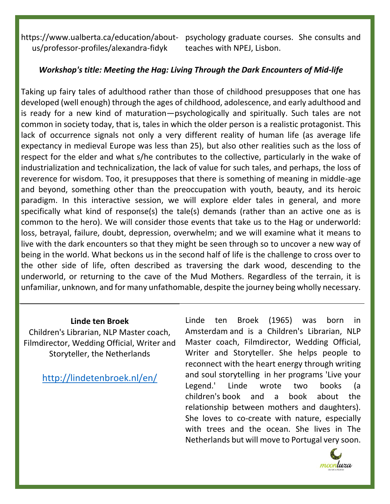https://www.ualberta.ca/education/aboutus/professor-profiles/alexandra-fidyk

psychology graduate courses. She consults and teaches with NPEJ, Lisbon.

#### *Workshop's title: Meeting the Hag: Living Through the Dark Encounters of Mid-life*

Taking up fairy tales of adulthood rather than those of childhood presupposes that one has developed (well enough) through the ages of childhood, adolescence, and early adulthood and is ready for a new kind of maturation—psychologically and spiritually. Such tales are not common in society today, that is, tales in which the older person is a realistic protagonist. This lack of occurrence signals not only a very different reality of human life (as average life expectancy in medieval Europe was less than 25), but also other realities such as the loss of respect for the elder and what s/he contributes to the collective, particularly in the wake of industrialization and technicalization, the lack of value for such tales, and perhaps, the loss of reverence for wisdom. Too, it presupposes that there is something of meaning in middle-age and beyond, something other than the preoccupation with youth, beauty, and its heroic paradigm. In this interactive session, we will explore elder tales in general, and more specifically what kind of response(s) the tale(s) demands (rather than an active one as is common to the hero). We will consider those events that take us to the Hag or underworld: loss, betrayal, failure, doubt, depression, overwhelm; and we will examine what it means to live with the dark encounters so that they might be seen through so to uncover a new way of being in the world. What beckons us in the second half of life is the challenge to cross over to the other side of life, often described as traversing the dark wood, descending to the underworld, or returning to the cave of the Mud Mothers. Regardless of the terrain, it is unfamiliar, unknown, and for many unfathomable, despite the journey being wholly necessary.

#### **Linde ten Broek**

Children's Librarian, NLP Master coach, Filmdirector, Wedding Official, Writer and Storyteller, the Netherlands

<http://lindetenbroek.nl/en/>

Linde ten Broek (1965) was born in Amsterdam and is a Children's Librarian, NLP Master coach, Filmdirector, Wedding Official, Writer and Storyteller. She helps people to reconnect with the heart energy through writing and soul storytelling in her programs 'Live your Legend.' Linde wrote two books (a children's book and a book about the relationship between mothers and daughters). She loves to co-create with nature, especially with trees and the ocean. She lives in The Netherlands but will move to Portugal very soon.

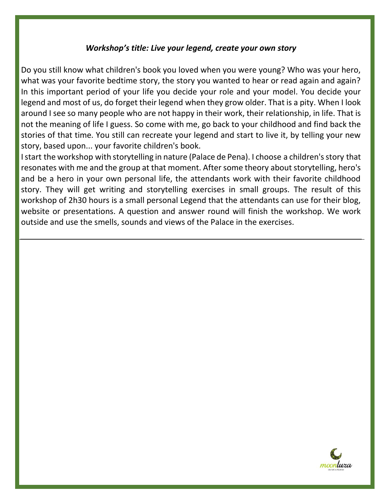#### *Workshop's title: Live your legend, create your own story*

Do you still know what children's book you loved when you were young? Who was your hero, what was your favorite bedtime story, the story you wanted to hear or read again and again? In this important period of your life you decide your role and your model. You decide your legend and most of us, do forget their legend when they grow older. That is a pity. When I look around I see so many people who are not happy in their work, their relationship, in life. That is not the meaning of life I guess. So come with me, go back to your childhood and find back the stories of that time. You still can recreate your legend and start to live it, by telling your new story, based upon... your favorite children's book.

I start the workshop with storytelling in nature (Palace de Pena). I choose a children's story that resonates with me and the group at that moment. After some theory about storytelling, hero's and be a hero in your own personal life, the attendants work with their favorite childhood story. They will get writing and storytelling exercises in small groups. The result of this workshop of 2h30 hours is a small personal Legend that the attendants can use for their blog, website or presentations. A question and answer round will finish the workshop. We work outside and use the smells, sounds and views of the Palace in the exercises.